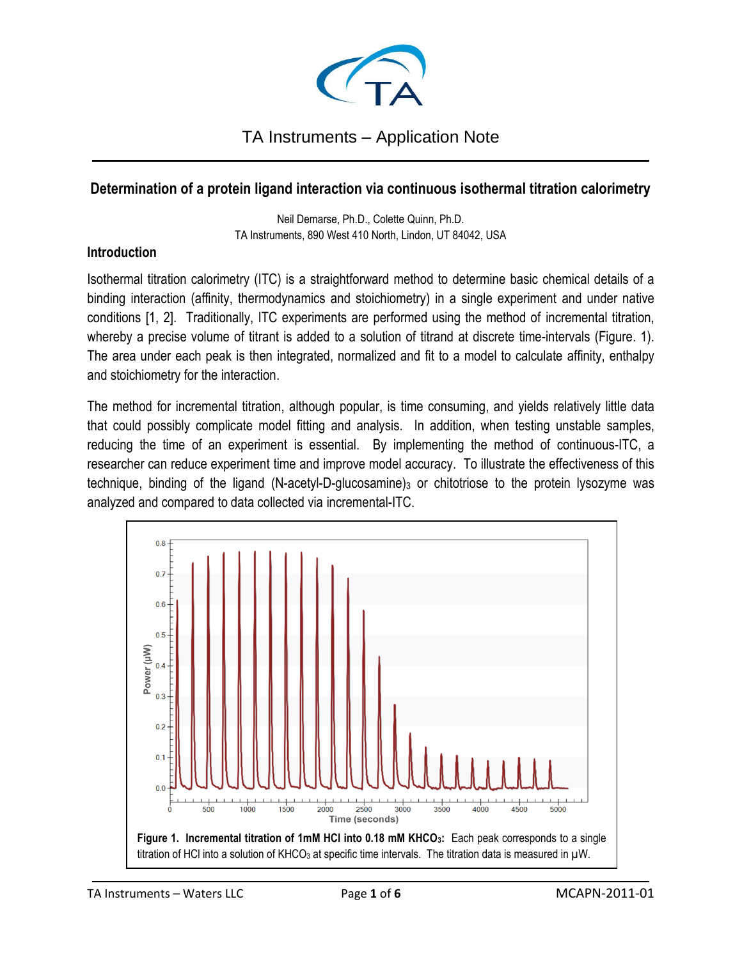

### TA Instruments – Application Note \_\_\_\_\_\_\_\_\_\_\_\_\_\_\_\_\_\_\_\_\_\_\_\_\_\_\_\_\_\_\_\_\_\_\_\_\_\_\_\_\_\_\_\_\_\_\_\_\_\_\_\_\_\_\_\_\_\_\_\_\_\_\_\_\_\_\_\_\_\_\_\_\_\_\_\_\_\_\_\_\_\_\_\_

# **Determination of a protein ligand interaction via continuous isothermal titration calorimetry**

Neil Demarse, Ph.D., Colette Quinn, Ph.D. TA Instruments, 890 West 410 North, Lindon, UT 84042, USA

#### **Introduction**

Isothermal titration calorimetry (ITC) is a straightforward method to determine basic chemical details of a binding interaction (affinity, thermodynamics and stoichiometry) in a single experiment and under native conditions [1, 2]. Traditionally, ITC experiments are performed using the method of incremental titration, whereby a precise volume of titrant is added to a solution of titrand at discrete time-intervals (Figure. 1). The area under each peak is then integrated, normalized and fit to a model to calculate affinity, enthalpy and stoichiometry for the interaction.

The method for incremental titration, although popular, is time consuming, and yields relatively little data that could possibly complicate model fitting and analysis. In addition, when testing unstable samples, reducing the time of an experiment is essential. By implementing the method of continuous-ITC, a researcher can reduce experiment time and improve model accuracy. To illustrate the effectiveness of this technique, binding of the ligand (N-acetyl-D-glucosamine)<sup>3</sup> or chitotriose to the protein lysozyme was analyzed and compared to data collected via incremental-ITC.

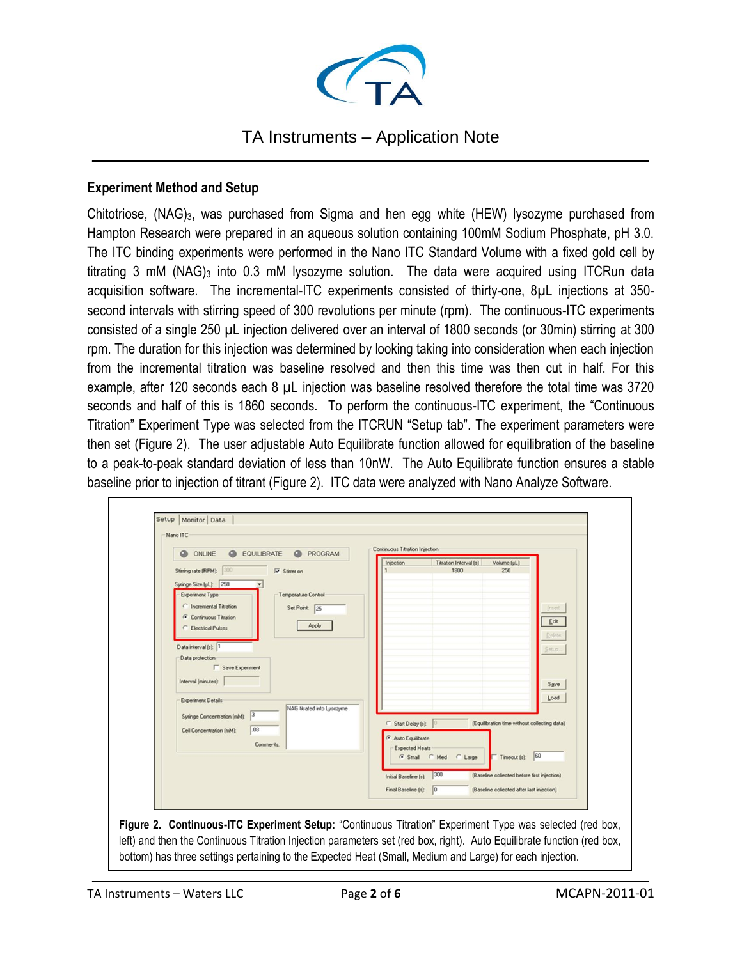

### TA Instruments – Application Note \_\_\_\_\_\_\_\_\_\_\_\_\_\_\_\_\_\_\_\_\_\_\_\_\_\_\_\_\_\_\_\_\_\_\_\_\_\_\_\_\_\_\_\_\_\_\_\_\_\_\_\_\_\_\_\_\_\_\_\_\_\_\_\_\_\_\_\_\_\_\_\_\_\_\_\_\_\_\_\_\_\_\_\_

#### **Experiment Method and Setup**

Chitotriose, (NAG)3, was purchased from Sigma and hen egg white (HEW) lysozyme purchased from Hampton Research were prepared in an aqueous solution containing 100mM Sodium Phosphate, pH 3.0. The ITC binding experiments were performed in the Nano ITC Standard Volume with a fixed gold cell by titrating 3 mM (NAG)<sub>3</sub> into 0.3 mM lysozyme solution. The data were acquired using ITCRun data acquisition software. The incremental-ITC experiments consisted of thirty-one, 8µL injections at 350 second intervals with stirring speed of 300 revolutions per minute (rpm). The continuous-ITC experiments consisted of a single 250 µL injection delivered over an interval of 1800 seconds (or 30min) stirring at 300 rpm. The duration for this injection was determined by looking taking into consideration when each injection from the incremental titration was baseline resolved and then this time was then cut in half. For this example, after 120 seconds each 8 µL injection was baseline resolved therefore the total time was 3720 seconds and half of this is 1860 seconds. To perform the continuous-ITC experiment, the "Continuous Titration" Experiment Type was selected from the ITCRUN "Setup tab". The experiment parameters were then set (Figure 2). The user adjustable Auto Equilibrate function allowed for equilibration of the baseline to a peak-to-peak standard deviation of less than 10nW. The Auto Equilibrate function ensures a stable baseline prior to injection of titrant (Figure 2). ITC data were analyzed with Nano Analyze Software.



**Figure 2. Continuous-ITC Experiment Setup:** "Continuous Titration" Experiment Type was selected (red box, left) and then the Continuous Titration Injection parameters set (red box, right). Auto Equilibrate function (red box, bottom) has three settings pertaining to the Expected Heat (Small, Medium and Large) for each injection.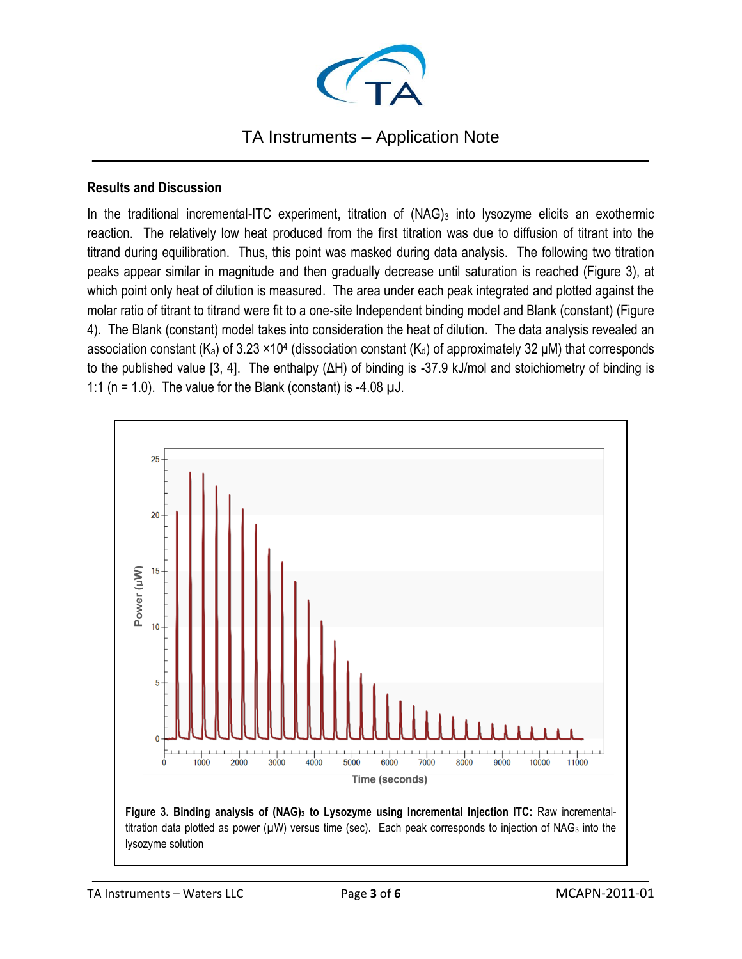

### TA Instruments – Application Note \_\_\_\_\_\_\_\_\_\_\_\_\_\_\_\_\_\_\_\_\_\_\_\_\_\_\_\_\_\_\_\_\_\_\_\_\_\_\_\_\_\_\_\_\_\_\_\_\_\_\_\_\_\_\_\_\_\_\_\_\_\_\_\_\_\_\_\_\_\_\_\_\_\_\_\_\_\_\_\_\_\_\_\_

#### **Results and Discussion**

In the traditional incremental-ITC experiment, titration of (NAG)<sub>3</sub> into lysozyme elicits an exothermic reaction. The relatively low heat produced from the first titration was due to diffusion of titrant into the titrand during equilibration. Thus, this point was masked during data analysis. The following two titration peaks appear similar in magnitude and then gradually decrease until saturation is reached (Figure 3), at which point only heat of dilution is measured. The area under each peak integrated and plotted against the molar ratio of titrant to titrand were fit to a one-site Independent binding model and Blank (constant) (Figure 4). The Blank (constant) model takes into consideration the heat of dilution. The data analysis revealed an association constant (K<sub>a</sub>) of 3.23 ×10<sup>4</sup> (dissociation constant (K<sub>d</sub>) of approximately 32  $\mu$ M) that corresponds to the published value [3, 4]. The enthalpy (ΔH) of binding is -37.9 kJ/mol and stoichiometry of binding is 1:1 ( $n = 1.0$ ). The value for the Blank (constant) is -4.08  $\mu$ J.



**Figure 3. Binding analysis of (NAG)<sup>3</sup> to Lysozyme using Incremental Injection ITC:** Raw incrementaltitration data plotted as power ( $\mu$ W) versus time (sec). Each peak corresponds to injection of NAG<sub>3</sub> into the lysozyme solution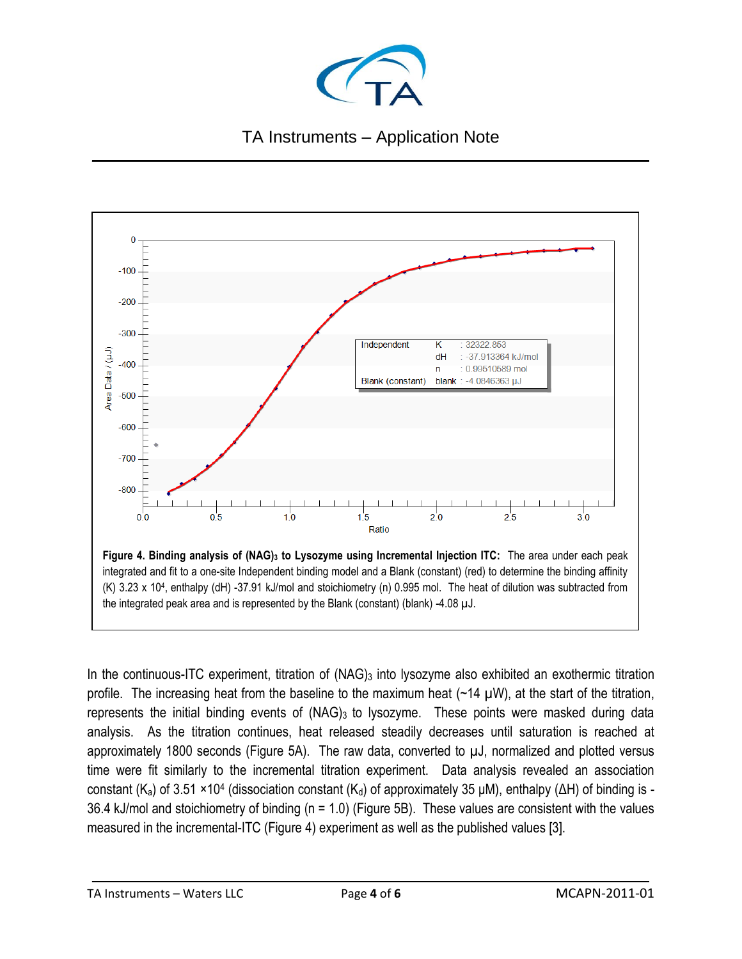



In the continuous-ITC experiment, titration of (NAG)<sub>3</sub> into lysozyme also exhibited an exothermic titration profile. The increasing heat from the baseline to the maximum heat  $(\sim 14 \mu W)$ , at the start of the titration, represents the initial binding events of (NAG)<sub>3</sub> to lysozyme. These points were masked during data analysis. As the titration continues, heat released steadily decreases until saturation is reached at approximately 1800 seconds (Figure 5A). The raw data, converted to µJ, normalized and plotted versus time were fit similarly to the incremental titration experiment. Data analysis revealed an association constant (K<sub>a</sub>) of 3.51 ×10<sup>4</sup> (dissociation constant (K<sub>d</sub>) of approximately 35 μM), enthalpy (ΔH) of binding is -36.4 kJ/mol and stoichiometry of binding (n = 1.0) (Figure 5B). These values are consistent with the values measured in the incremental-ITC (Figure 4) experiment as well as the published values [3].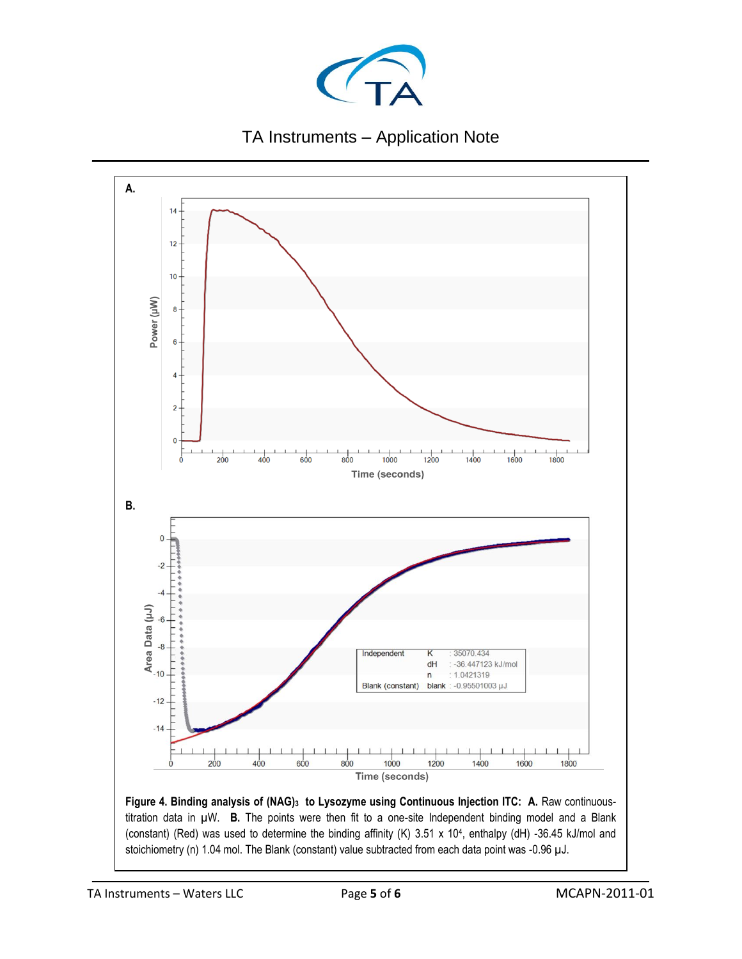



**Figure 4. Binding analysis of (NAG)<sup>3</sup> to Lysozyme using Continuous Injection ITC: A.** Raw continuoustitration data in µW. **B.** The points were then fit to a one-site Independent binding model and a Blank (constant) (Red) was used to determine the binding affinity (K) 3.51 x 10<sup>4</sup> , enthalpy (dH) -36.45 kJ/mol and stoichiometry (n) 1.04 mol. The Blank (constant) value subtracted from each data point was -0.96 µJ.